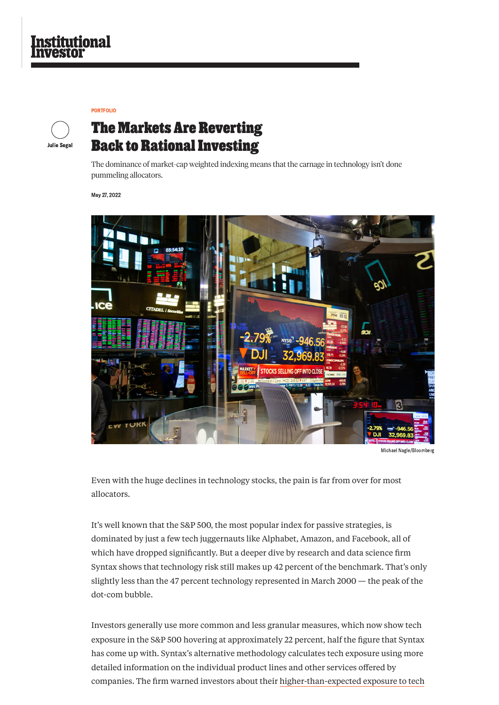Even with the huge declines in technology stocks, the pain is far from over for most allocators.

It's well known that the S&P 500, the most popular index for passive strategies, is

dominated by just a few tech juggernauts like Alphabet, Amazon, and Facebook, all of which have dropped significantly. But a deeper dive by research and data science firm Syntax shows that technology risk still makes up 42 percent of the benchmark. That's only slightly less than the 47 percent technology represented in March 2000 — the peak of the dot-com bubble.

Investors generally use more common and less granular measures, which now show tech exposure in the S&P 500 hovering at approximately 22 percent, half the figure that Syntax has come up with. Syntax's alternative methodology calculates tech exposure using more detailed information on the individual product lines and other services offered by companies. The firm warned investors about their [higher-than-expected](https://www.institutionalinvestor.com/article/b1vh3tmpvxh5ph/Investors-Know-They-Own-Too-Much-Tech-This-Analysis-Shows-That-It-s-Worse-Than-They-Think) exposure to tech

The dominance of market-cap weighted indexing means that the carnage in technology isn't done pummeling allocators.

May 27, 2022



Michael Nagle/Bloomberg



## **The Markets Are Reverting Back to Rational Investing**

# tional

[PORTFOLIO](https://www.institutionalinvestor.com/Portfolio)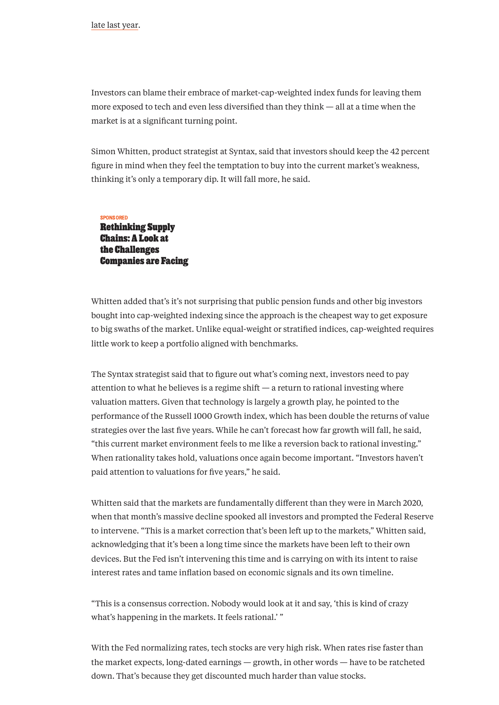Investors can blame their embrace of market-cap-weighted index funds for leaving them more exposed to tech and even less diversified than they think — all at a time when the market is at a significant turning point.

Simon Whitten, product strategist at Syntax, said that investors should keep the 42 percent figure in mind when they feel the temptation to buy into the current market's weakness, thinking it's only a temporary dip. It will fall more, he said.

Whitten added that's it's not surprising that public pension funds and other big investors bought into cap-weighted indexing since the approach is the cheapest way to get exposure to big swaths of the market. Unlike equal-weight or stratified indices, cap-weighted requires little work to keep a portfolio aligned with benchmarks.

"This is a consensus correction. Nobody would look at it and say, 'this is kind of crazy what's happening in the markets. It feels rational.'"

The Syntax strategist said that to figure out what's coming next, investors need to pay attention to what he believes is a regime shift — a return to rational investing where valuation matters. Given that technology is largely a growth play, he pointed to the performance of the Russell 1000 Growth index, which has been double the returns of value strategies over the last five years. While he can't forecast how far growth will fall, he said, "this current market environment feels to me like a reversion back to rational investing." When rationality takes hold, valuations once again become important. "Investors haven't paid attention to valuations for five years," he said.

Whitten said that the markets are fundamentally different than they were in March 2020, when that month's massive decline spooked all investors and prompted the Federal Reserve to intervene. "This is a market correction that's been left up to the markets," Whitten said, acknowledging that it's been a long time since the markets have been left to their own devices. But the Fed isn't intervening this time and is carrying on with its intent to raise interest rates and tame inflation based on economic signals and its own timeline.

With the Fed normalizing rates, tech stocks are very high risk. When rates rise faster than the market expects, long-dated earnings — growth, in other words — have to be ratcheted down. That's because they get discounted much harder than value stocks.

SPONSORED [Rethinking](https://www.institutionalinvestor.com/article/b1y62ff2txy0fy/rethinking-supply-chains-a-look-at-the-challenges-companies-are-facing) Supply Chains: A Look at the Challenges Companies are Facing